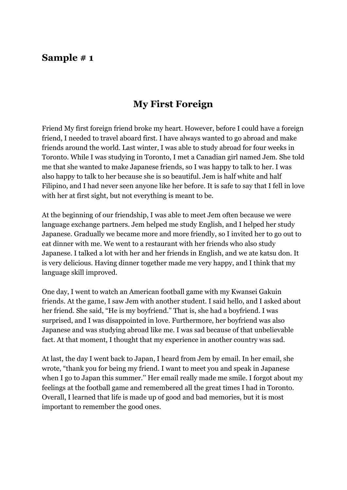#### **My First Foreign**

Friend My first foreign friend broke my heart. However, before I could have a foreign friend, I needed to travel aboard first. I have always wanted to go abroad and make friends around the world. Last winter, I was able to study abroad for four weeks in Toronto. While I was studying in Toronto, I met a Canadian girl named Jem. She told me that she wanted to make Japanese friends, so I was happy to talk to her. I was also happy to talk to her because she is so beautiful. Jem is half white and half Filipino, and I had never seen anyone like her before. It is safe to say that I fell in love with her at first sight, but not everything is meant to be.

At the beginning of our friendship, I was able to meet Jem often because we were language exchange partners. Jem helped me study English, and I helped her study Japanese. Gradually we became more and more friendly, so I invited her to go out to eat dinner with me. We went to a restaurant with her friends who also study Japanese. I talked a lot with her and her friends in English, and we ate katsu don. It is very delicious. Having dinner together made me very happy, and I think that my language skill improved.

One day, I went to watch an American football game with my Kwansei Gakuin friends. At the game, I saw Jem with another student. I said hello, and I asked about her friend. She said, "He is my boyfriend." That is, she had a boyfriend. I was surprised, and I was disappointed in love. Furthermore, her boyfriend was also Japanese and was studying abroad like me. I was sad because of that unbelievable fact. At that moment, I thought that my experience in another country was sad.

At last, the day I went back to Japan, I heard from Jem by email. In her email, she wrote, "thank you for being my friend. I want to meet you and speak in Japanese when I go to Japan this summer.'' Her email really made me smile. I forgot about my feelings at the football game and remembered all the great times I had in Toronto. Overall, I learned that life is made up of good and bad memories, but it is most important to remember the good ones.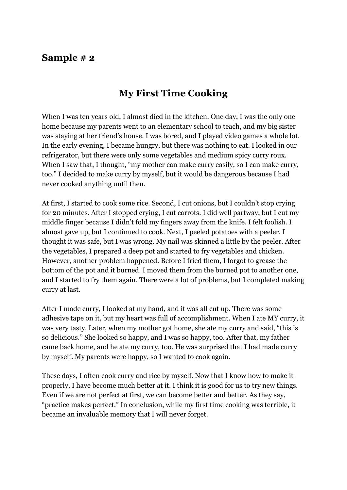#### **My First Time Cooking**

When I was ten years old, I almost died in the kitchen. One day, I was the only one home because my parents went to an elementary school to teach, and my big sister was staying at her friend's house. I was bored, and I played video games a whole lot. In the early evening, I became hungry, but there was nothing to eat. I looked in our refrigerator, but there were only some vegetables and medium spicy curry roux. When I saw that, I thought, "my mother can make curry easily, so I can make curry, too." I decided to make curry by myself, but it would be dangerous because I had never cooked anything until then.

At first, I started to cook some rice. Second, I cut onions, but I couldn't stop crying for 20 minutes. After I stopped crying, I cut carrots. I did well partway, but I cut my middle finger because I didn't fold my fingers away from the knife. I felt foolish. I almost gave up, but I continued to cook. Next, I peeled potatoes with a peeler. I thought it was safe, but I was wrong. My nail was skinned a little by the peeler. After the vegetables, I prepared a deep pot and started to fry vegetables and chicken. However, another problem happened. Before I fried them, I forgot to grease the bottom of the pot and it burned. I moved them from the burned pot to another one, and I started to fry them again. There were a lot of problems, but I completed making curry at last.

After I made curry, I looked at my hand, and it was all cut up. There was some adhesive tape on it, but my heart was full of accomplishment. When I ate MY curry, it was very tasty. Later, when my mother got home, she ate my curry and said, "this is so delicious." She looked so happy, and I was so happy, too. After that, my father came back home, and he ate my curry, too. He was surprised that I had made curry by myself. My parents were happy, so I wanted to cook again.

These days, I often cook curry and rice by myself. Now that I know how to make it properly, I have become much better at it. I think it is good for us to try new things. Even if we are not perfect at first, we can become better and better. As they say, "practice makes perfect." In conclusion, while my first time cooking was terrible, it became an invaluable memory that I will never forget.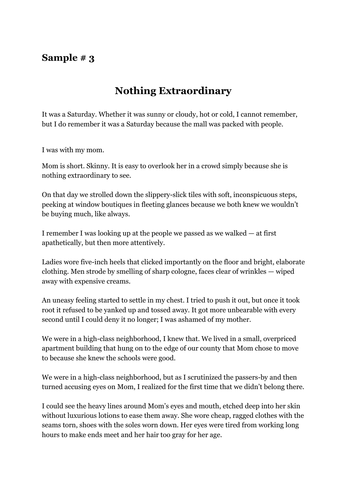## **Nothing Extraordinary**

It was a Saturday. Whether it was sunny or cloudy, hot or cold, I cannot remember, but I do remember it was a Saturday because the mall was packed with people.

I was with my mom.

Mom is short. Skinny. It is easy to overlook her in a crowd simply because she is nothing extraordinary to see.

On that day we strolled down the slippery-slick tiles with soft, inconspicuous steps, peeking at window boutiques in fleeting glances because we both knew we wouldn't be buying much, like always.

I remember I was looking up at the people we passed as we walked — at first apathetically, but then more attentively.

Ladies wore five-inch heels that clicked importantly on the floor and bright, elaborate clothing. Men strode by smelling of sharp cologne, faces clear of wrinkles — wiped away with expensive creams.

An uneasy feeling started to settle in my chest. I tried to push it out, but once it took root it refused to be yanked up and tossed away. It got more unbearable with every second until I could deny it no longer; I was ashamed of my mother.

We were in a high-class neighborhood, I knew that. We lived in a small, overpriced apartment building that hung on to the edge of our county that Mom chose to move to because she knew the schools were good.

We were in a high-class neighborhood, but as I scrutinized the passers-by and then turned accusing eyes on Mom, I realized for the first time that we didn't belong there.

I could see the heavy lines around Mom's eyes and mouth, etched deep into her skin without luxurious lotions to ease them away. She wore cheap, ragged clothes with the seams torn, shoes with the soles worn down. Her eyes were tired from working long hours to make ends meet and her hair too gray for her age.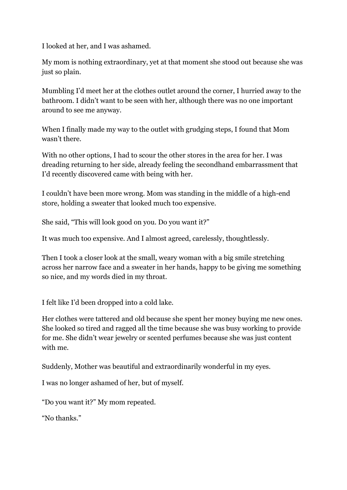I looked at her, and I was ashamed.

My mom is nothing extraordinary, yet at that moment she stood out because she was just so plain.

Mumbling I'd meet her at the clothes outlet around the corner, I hurried away to the bathroom. I didn't want to be seen with her, although there was no one important around to see me anyway.

When I finally made my way to the outlet with grudging steps, I found that Mom wasn't there.

With no other options, I had to scour the other stores in the area for her. I was dreading returning to her side, already feeling the secondhand embarrassment that I'd recently discovered came with being with her.

I couldn't have been more wrong. Mom was standing in the middle of a high-end store, holding a sweater that looked much too expensive.

She said, "This will look good on you. Do you want it?"

It was much too expensive. And I almost agreed, carelessly, thoughtlessly.

Then I took a closer look at the small, weary woman with a big smile stretching across her narrow face and a sweater in her hands, happy to be giving me something so nice, and my words died in my throat.

I felt like I'd been dropped into a cold lake.

Her clothes were tattered and old because she spent her money buying me new ones. She looked so tired and ragged all the time because she was busy working to provide for me. She didn't wear jewelry or scented perfumes because she was just content with me.

Suddenly, Mother was beautiful and extraordinarily wonderful in my eyes.

I was no longer ashamed of her, but of myself.

"Do you want it?" My mom repeated.

"No thanks."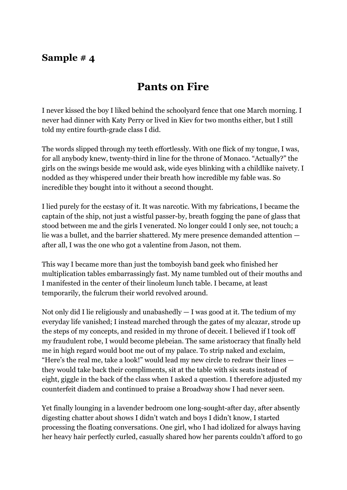## **Pants on Fire**

I never kissed the boy I liked behind the schoolyard fence that one March morning. I never had dinner with Katy Perry or lived in Kiev for two months either, but I still told my entire fourth-grade class I did.

The words slipped through my teeth effortlessly. With one flick of my tongue, I was, for all anybody knew, twenty-third in line for the throne of Monaco. "Actually?" the girls on the swings beside me would ask, wide eyes blinking with a childlike naivety. I nodded as they whispered under their breath how incredible my fable was. So incredible they bought into it without a second thought.

I lied purely for the ecstasy of it. It was narcotic. With my fabrications, I became the captain of the ship, not just a wistful passer-by, breath fogging the pane of glass that stood between me and the girls I venerated. No longer could I only see, not touch; a lie was a bullet, and the barrier shattered. My mere presence demanded attention after all, I was the one who got a valentine from Jason, not them.

This way I became more than just the tomboyish band geek who finished her multiplication tables embarrassingly fast. My name tumbled out of their mouths and I manifested in the center of their linoleum lunch table. I became, at least temporarily, the fulcrum their world revolved around.

Not only did I lie religiously and unabashedly  $-$  I was good at it. The tedium of my everyday life vanished; I instead marched through the gates of my alcazar, strode up the steps of my concepts, and resided in my throne of deceit. I believed if I took off my fraudulent robe, I would become plebeian. The same aristocracy that finally held me in high regard would boot me out of my palace. To strip naked and exclaim, "Here's the real me, take a look!" would lead my new circle to redraw their lines they would take back their compliments, sit at the table with six seats instead of eight, giggle in the back of the class when I asked a question. I therefore adjusted my counterfeit diadem and continued to praise a Broadway show I had never seen.

Yet finally lounging in a lavender bedroom one long-sought-after day, after absently digesting chatter about shows I didn't watch and boys I didn't know, I started processing the floating conversations. One girl, who I had idolized for always having her heavy hair perfectly curled, casually shared how her parents couldn't afford to go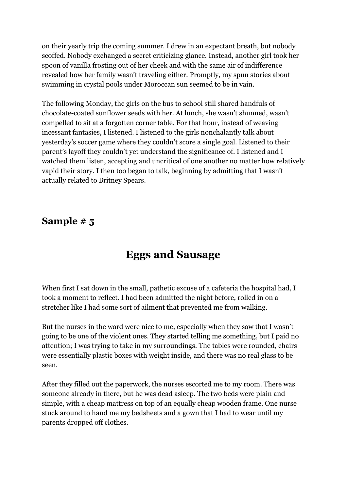on their yearly trip the coming summer. I drew in an expectant breath, but nobody scoffed. Nobody exchanged a secret criticizing glance. Instead, another girl took her spoon of vanilla frosting out of her cheek and with the same air of indifference revealed how her family wasn't traveling either. Promptly, my spun stories about swimming in crystal pools under Moroccan sun seemed to be in vain.

The following Monday, the girls on the bus to school still shared handfuls of chocolate-coated sunflower seeds with her. At lunch, she wasn't shunned, wasn't compelled to sit at a forgotten corner table. For that hour, instead of weaving incessant fantasies, I listened. I listened to the girls nonchalantly talk about yesterday's soccer game where they couldn't score a single goal. Listened to their parent's layoff they couldn't yet understand the significance of. I listened and I watched them listen, accepting and uncritical of one another no matter how relatively vapid their story. I then too began to talk, beginning by admitting that I wasn't actually related to Britney Spears.

#### **Sample # 5**

### **Eggs and Sausage**

When first I sat down in the small, pathetic excuse of a cafeteria the hospital had, I took a moment to reflect. I had been admitted the night before, rolled in on a stretcher like I had some sort of ailment that prevented me from walking.

But the nurses in the ward were nice to me, especially when they saw that I wasn't going to be one of the violent ones. They started telling me something, but I paid no attention; I was trying to take in my surroundings. The tables were rounded, chairs were essentially plastic boxes with weight inside, and there was no real glass to be seen.

After they filled out the paperwork, the nurses escorted me to my room. There was someone already in there, but he was dead asleep. The two beds were plain and simple, with a cheap mattress on top of an equally cheap wooden frame. One nurse stuck around to hand me my bedsheets and a gown that I had to wear until my parents dropped off clothes.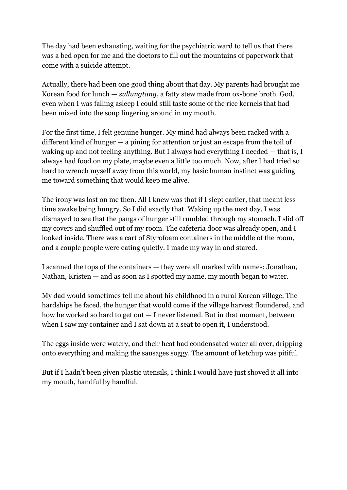The day had been exhausting, waiting for the psychiatric ward to tell us that there was a bed open for me and the doctors to fill out the mountains of paperwork that come with a suicide attempt.

Actually, there had been one good thing about that day. My parents had brought me Korean food for lunch — *sullungtang*, a fatty stew made from ox-bone broth. God, even when I was falling asleep I could still taste some of the rice kernels that had been mixed into the soup lingering around in my mouth.

For the first time, I felt genuine hunger. My mind had always been racked with a different kind of hunger — a pining for attention or just an escape from the toil of waking up and not feeling anything. But I always had everything I needed — that is, I always had food on my plate, maybe even a little too much. Now, after I had tried so hard to wrench myself away from this world, my basic human instinct was guiding me toward something that would keep me alive.

The irony was lost on me then. All I knew was that if I slept earlier, that meant less time awake being hungry. So I did exactly that. Waking up the next day, I was dismayed to see that the pangs of hunger still rumbled through my stomach. I slid off my covers and shuffled out of my room. The cafeteria door was already open, and I looked inside. There was a cart of Styrofoam containers in the middle of the room, and a couple people were eating quietly. I made my way in and stared.

I scanned the tops of the containers — they were all marked with names: Jonathan, Nathan, Kristen — and as soon as I spotted my name, my mouth began to water.

My dad would sometimes tell me about his childhood in a rural Korean village. The hardships he faced, the hunger that would come if the village harvest floundered, and how he worked so hard to get out — I never listened. But in that moment, between when I saw my container and I sat down at a seat to open it, I understood.

The eggs inside were watery, and their heat had condensated water all over, dripping onto everything and making the sausages soggy. The amount of ketchup was pitiful.

But if I hadn't been given plastic utensils, I think I would have just shoved it all into my mouth, handful by handful.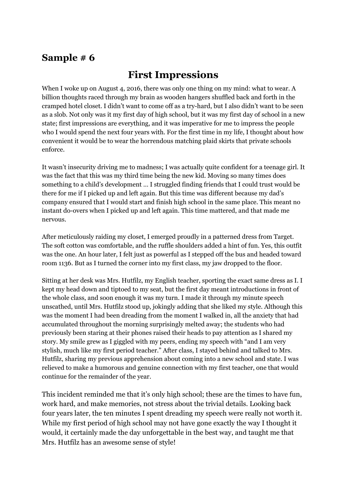### **First Impressions**

When I woke up on August 4, 2016, there was only one thing on my mind: what to wear. A billion thoughts raced through my brain as wooden hangers shuffled back and forth in the cramped hotel closet. I didn't want to come off as a try-hard, but I also didn't want to be seen as a slob. Not only was it my first day of high school, but it was my first day of school in a new state; first impressions are everything, and it was imperative for me to impress the people who I would spend the next four years with. For the first time in my life, I thought about how convenient it would be to wear the horrendous matching plaid skirts that private schools enforce.

It wasn't insecurity driving me to madness; I was actually quite confident for a teenage girl. It was the fact that this was my third time being the new kid. Moving so many times does something to a child's development … I struggled finding friends that I could trust would be there for me if I picked up and left again. But this time was different because my dad's company ensured that I would start and finish high school in the same place. This meant no instant do-overs when I picked up and left again. This time mattered, and that made me nervous.

After meticulously raiding my closet, I emerged proudly in a patterned dress from Target. The soft cotton was comfortable, and the ruffle shoulders added a hint of fun. Yes, this outfit was the one. An hour later, I felt just as powerful as I stepped off the bus and headed toward room 1136. But as I turned the corner into my first class, my jaw dropped to the floor.

Sitting at her desk was Mrs. Hutfilz, my English teacher, sporting the exact same dress as I. I kept my head down and tiptoed to my seat, but the first day meant introductions in front of the whole class, and soon enough it was my turn. I made it through my minute speech unscathed, until Mrs. Hutfilz stood up, jokingly adding that she liked my style. Although this was the moment I had been dreading from the moment I walked in, all the anxiety that had accumulated throughout the morning surprisingly melted away; the students who had previously been staring at their phones raised their heads to pay attention as I shared my story. My smile grew as I giggled with my peers, ending my speech with "and I am very stylish, much like my first period teacher." After class, I stayed behind and talked to Mrs. Hutfilz, sharing my previous apprehension about coming into a new school and state. I was relieved to make a humorous and genuine connection with my first teacher, one that would continue for the remainder of the year.

This incident reminded me that it's only high school; these are the times to have fun, work hard, and make memories, not stress about the trivial details. Looking back four years later, the ten minutes I spent dreading my speech were really not worth it. While my first period of high school may not have gone exactly the way I thought it would, it certainly made the day unforgettable in the best way, and taught me that Mrs. Hutfilz has an awesome sense of style!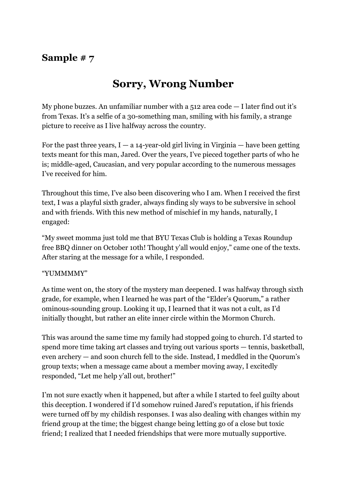# **Sorry, Wrong Number**

My phone buzzes. An unfamiliar number with a  $512$  area code  $-1$  later find out it's from Texas. It's a selfie of a 30-something man, smiling with his family, a strange picture to receive as I live halfway across the country.

For the past three years,  $I - a$  14-year-old girl living in Virginia — have been getting texts meant for this man, Jared. Over the years, I've pieced together parts of who he is; middle-aged, Caucasian, and very popular according to the numerous messages I've received for him.

Throughout this time, I've also been discovering who I am. When I received the first text, I was a playful sixth grader, always finding sly ways to be subversive in school and with friends. With this new method of mischief in my hands, naturally, I engaged:

"My sweet momma just told me that BYU Texas Club is holding a Texas Roundup free BBQ dinner on October 10th! Thought y'all would enjoy," came one of the texts. After staring at the message for a while, I responded.

#### "YUMMMMY"

As time went on, the story of the mystery man deepened. I was halfway through sixth grade, for example, when I learned he was part of the "Elder's Quorum," a rather ominous-sounding group. Looking it up, I learned that it was not a cult, as I'd initially thought, but rather an elite inner circle within the Mormon Church.

This was around the same time my family had stopped going to church. I'd started to spend more time taking art classes and trying out various sports — tennis, basketball, even archery — and soon church fell to the side. Instead, I meddled in the Quorum's group texts; when a message came about a member moving away, I excitedly responded, "Let me help y'all out, brother!"

I'm not sure exactly when it happened, but after a while I started to feel guilty about this deception. I wondered if I'd somehow ruined Jared's reputation, if his friends were turned off by my childish responses. I was also dealing with changes within my friend group at the time; the biggest change being letting go of a close but toxic friend; I realized that I needed friendships that were more mutually supportive.